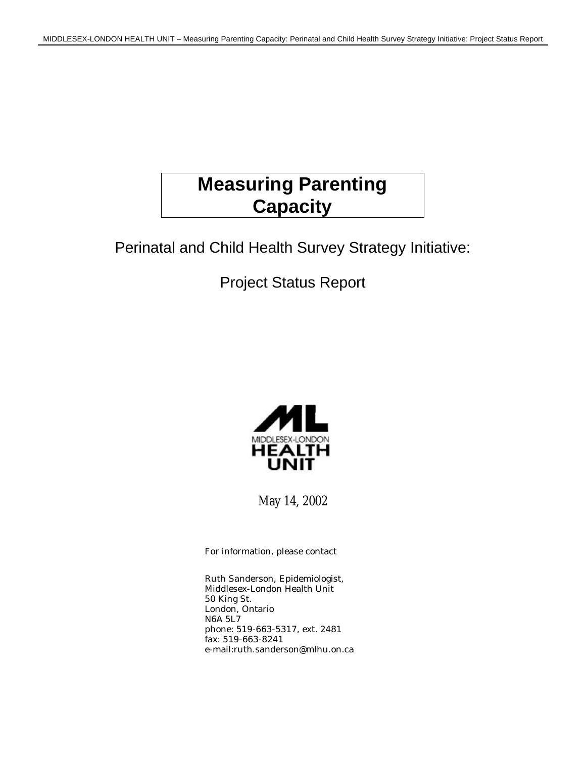# **Measuring Parenting Capacity**

Perinatal and Child Health Survey Strategy Initiative:

Project Status Report



May 14, 2002

For information, please contact

Ruth Sanderson, Epidemiologist, Middlesex-London Health Unit 50 King St. London, Ontario N6A 5L7 phone: 519-663-5317, ext. 2481 fax: 519-663-8241 e-mail:ruth.sanderson@mlhu.on.ca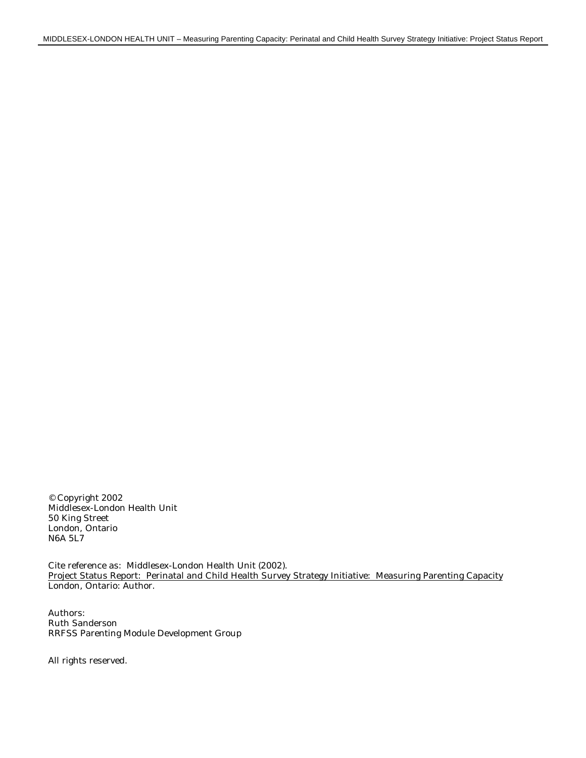© Copyright 2002 Middlesex-London Health Unit 50 King Street London, Ontario N6A 5L7

Cite reference as: Middlesex-London Health Unit (2002). Project Status Report: Perinatal and Child Health Survey Strategy Initiative: Measuring Parenting Capacity London, Ontario: Author.

Authors: Ruth Sanderson RRFSS Parenting Module Development Group

All rights reserved.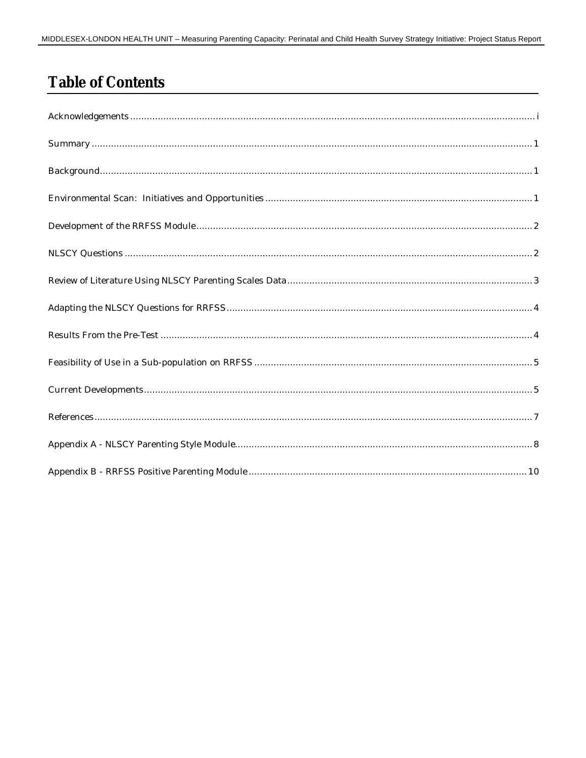## **Table of Contents**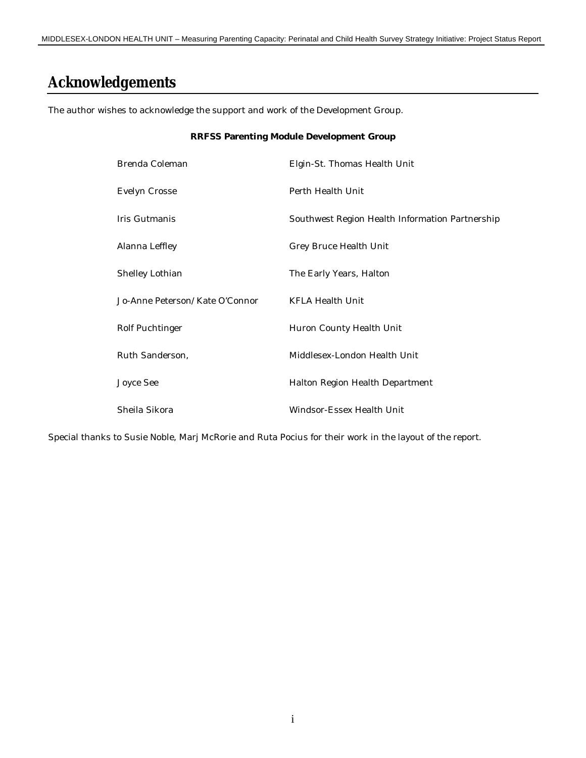## **Acknowledgements**

The author wishes to acknowledge the support and work of the Development Group.

#### **RRFSS Parenting Module Development Group**

| Brenda Coleman                 | Elgin-St. Thomas Health Unit                    |
|--------------------------------|-------------------------------------------------|
| Evelyn Crosse                  | Perth Health Unit                               |
| Iris Gutmanis                  | Southwest Region Health Information Partnership |
| Alanna Leffley                 | Grey Bruce Health Unit                          |
| Shelley Lothian                | The Early Years, Halton                         |
| Jo-Anne Peterson/Kate O'Connor | KFLA Health Unit                                |
| Rolf Puchtinger                | Huron County Health Unit                        |
| Ruth Sanderson,                | Middlesex-London Health Unit                    |
| Joyce See                      | Halton Region Health Department                 |
| Sheila Sikora                  | Windsor-Essex Health Unit                       |

Special thanks to Susie Noble, Marj McRorie and Ruta Pocius for their work in the layout of the report.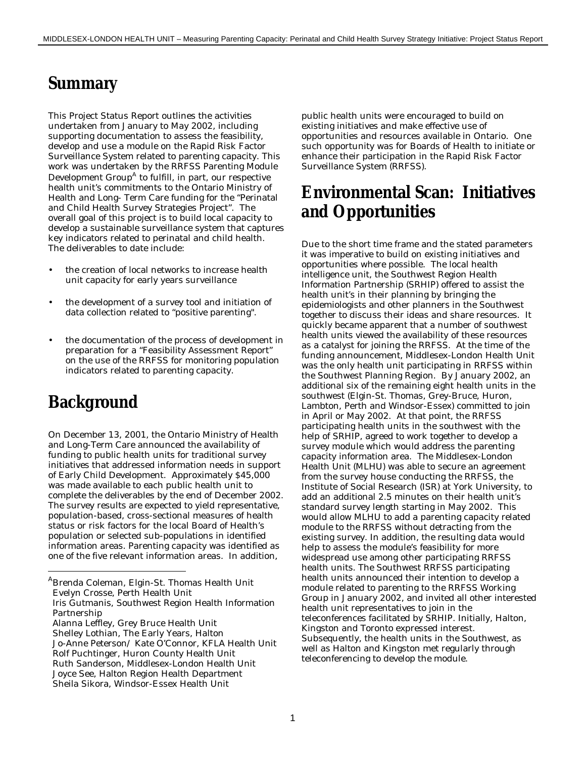## **Summary**

This Project Status Report outlines the activities undertaken from January to May 2002, including supporting documentation to assess the feasibility, develop and use a module on the Rapid Risk Factor Surveillance System related to parenting capacity. This work was undertaken by the RRFSS Parenting Module Development Group<sup>A</sup> to fulfill, in part, our respective health unit's commitments to the Ontario Ministry of Health and Long- Term Care funding for the "Perinatal and Child Health Survey Strategies Project". The overall goal of this project is to build local capacity to develop a sustainable surveillance system that captures key indicators related to perinatal and child health. The deliverables to date include:

- the creation of local networks to increase health unit capacity for early years surveillance
- the development of a survey tool and initiation of data collection related to "positive parenting".
- the documentation of the process of development in preparation for a "Feasibility Assessment Report" on the use of the RRFSS for monitoring population indicators related to parenting capacity.

## **Background**

-

On December 13, 2001, the Ontario Ministry of Health and Long-Term Care announced the availability of funding to public health units for traditional survey initiatives that addressed information needs in support of Early Child Development. Approximately \$45,000 was made available to each public health unit to complete the deliverables by the end of December 2002. The survey results are expected to yield representative, population-based, cross-sectional measures of health status or risk factors for the local Board of Health's population or selected sub-populations in identified information areas. Parenting capacity was identified as one of the five relevant information areas. In addition,

ABrenda Coleman, Elgin-St. Thomas Health Unit Evelyn Crosse, Perth Health Unit Iris Gutmanis, Southwest Region Health Information public health units were encouraged to build on existing initiatives and make effective use of opportunities and resources available in Ontario. One such opportunity was for Boards of Health to initiate or enhance their participation in the Rapid Risk Factor Surveillance System (RRFSS).

## **Environmental Scan: Initiatives and Opportunities**

Due to the short time frame and the stated parameters it was imperative to build on existing initiatives and opportunities where possible. The local health intelligence unit, the Southwest Region Health Information Partnership (SRHIP) offered to assist the health unit's in their planning by bringing the epidemiologists and other planners in the Southwest together to discuss their ideas and share resources. It quickly became apparent that a number of southwest health units viewed the availability of these resources as a catalyst for joining the RRFSS. At the time of the funding announcement, Middlesex-London Health Unit was the only health unit participating in RRFSS within the Southwest Planning Region. By January 2002, an additional six of the remaining eight health units in the southwest (Elgin-St. Thomas, Grey-Bruce, Huron, Lambton, Perth and Windsor-Essex) committed to join in April or May 2002. At that point, the RRFSS participating health units in the southwest with the help of SRHIP, agreed to work together to develop a survey module which would address the parenting capacity information area. The Middlesex-London Health Unit (MLHU) was able to secure an agreement from the survey house conducting the RRFSS, the Institute of Social Research (ISR) at York University, to add an additional 2.5 minutes on their health unit's standard survey length starting in May 2002. This would allow MLHU to add a parenting capacity related module to the RRFSS without detracting from the existing survey. In addition, the resulting data would help to assess the module's feasibility for more widespread use among other participating RRFSS health units. The Southwest RRFSS participating health units announced their intention to develop a module related to parenting to the RRFSS Working Group in January 2002, and invited all other interested health unit representatives to join in the teleconferences facilitated by SRHIP. Initially, Halton, Kingston and Toronto expressed interest. Subsequently, the health units in the Southwest, as well as Halton and Kingston met regularly through teleconferencing to develop the module.

Partnership

Alanna Leffley, Grey Bruce Health Unit Shelley Lothian, The Early Years, Halton Jo-Anne Peterson/ Kate O'Connor, KFLA Health Unit Rolf Puchtinger, Huron County Health Unit Ruth Sanderson, Middlesex-London Health Unit Joyce See, Halton Region Health Department Sheila Sikora, Windsor-Essex Health Unit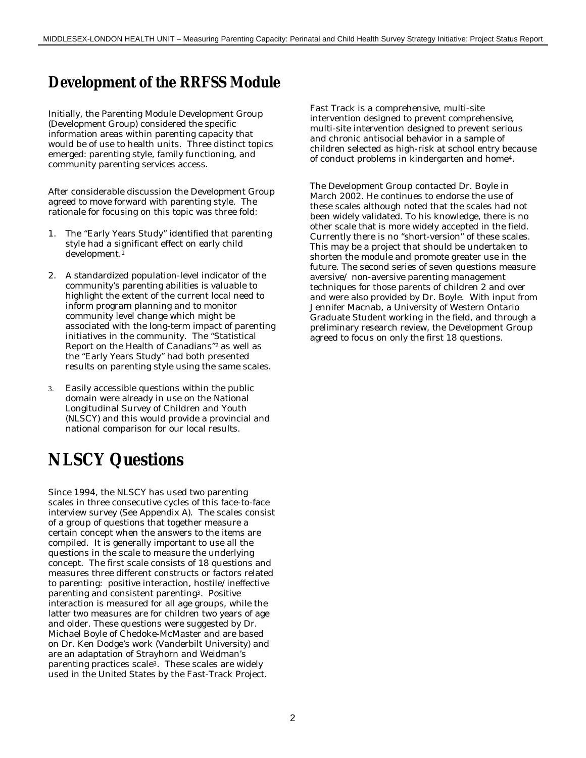### **Development of the RRFSS Module**

Initially, the Parenting Module Development Group (Development Group) considered the specific information areas within parenting capacity that would be of use to health units. Three distinct topics emerged: parenting style, family functioning, and community parenting services access.

After considerable discussion the Development Group agreed to move forward with parenting style. The rationale for focusing on this topic was three fold:

- 1. The "Early Years Study" identified that parenting style had a significant effect on early child development.<sup>1</sup>
- 2. A standardized population-level indicator of the community's parenting abilities is valuable to highlight the extent of the current local need to inform program planning and to monitor community level change which might be associated with the long-term impact of parenting initiatives in the community. The "Statistical Report on the Health of Canadians"2 as well as the "Early Years Study" had both presented results on parenting style using the same scales.
- 3. Easily accessible questions within the public domain were already in use on the National Longitudinal Survey of Children and Youth (NLSCY) and this would provide a provincial and national comparison for our local results.

## **NLSCY Questions**

Since 1994, the NLSCY has used two parenting scales in three consecutive cycles of this face-to-face interview survey (See Appendix A). The scales consist of a group of questions that together measure a certain concept when the answers to the items are compiled. It is generally important to use all the questions in the scale to measure the underlying concept. The first scale consists of 18 questions and measures three different constructs or factors related to parenting: positive interaction, hostile/ineffective parenting and consistent parenting3. Positive interaction is measured for all age groups, while the latter two measures are for children two years of age and older. These questions were suggested by Dr. Michael Boyle of Chedoke-McMaster and are based on Dr. Ken Dodge's work (Vanderbilt University) and are an adaptation of Strayhorn and Weidman's parenting practices scale3. These scales are widely used in the United States by the Fast-Track Project.

Fast Track is a comprehensive, multi-site intervention designed to prevent comprehensive, multi-site intervention designed to prevent serious and chronic antisocial behavior in a sample of children selected as high-risk at school entry because of conduct problems in kindergarten and home4.

The Development Group contacted Dr. Boyle in March 2002. He continues to endorse the use of these scales although noted that the scales had not been widely validated. To his knowledge, there is no other scale that is more widely accepted in the field. Currently there is no "short-version" of these scales. This may be a project that should be undertaken to shorten the module and promote greater use in the future. The second series of seven questions measure aversive/ non-aversive parenting management techniques for those parents of children 2 and over and were also provided by Dr. Boyle. With input from Jennifer Macnab, a University of Western Ontario Graduate Student working in the field, and through a preliminary research review, the Development Group agreed to focus on only the first 18 questions.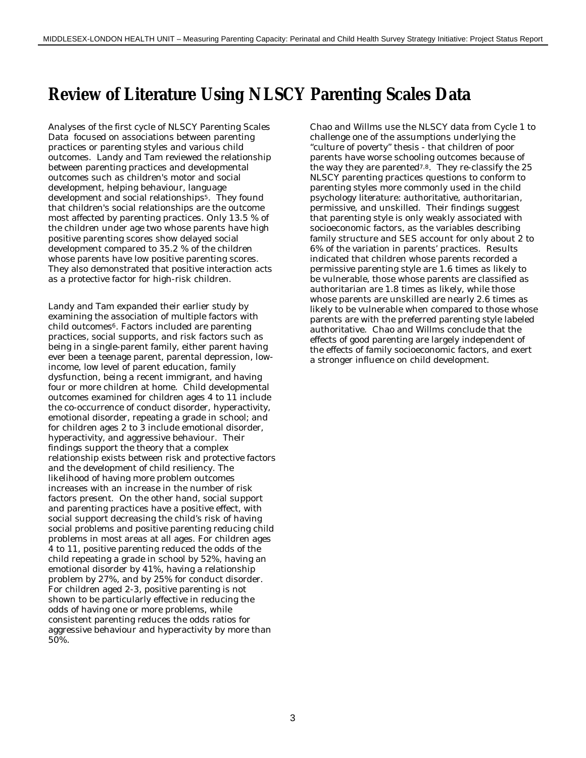## **Review of Literature Using NLSCY Parenting Scales Data**

Analyses of the first cycle of NLSCY Parenting Scales Data focused on associations between parenting practices or parenting styles and various child outcomes. Landy and Tam reviewed the relationship between parenting practices and developmental outcomes such as children's motor and social development, helping behaviour, language development and social relationships<sup>5</sup>. They found that children's social relationships are the outcome most affected by parenting practices. Only 13.5 % of the children under age two whose parents have high positive parenting scores show delayed social development compared to 35.2 % of the children whose parents have low positive parenting scores. They also demonstrated that positive interaction acts as a protective factor for high-risk children.

Landy and Tam expanded their earlier study by examining the association of multiple factors with child outcomes<sup>6</sup>. Factors included are parenting practices, social supports, and risk factors such as being in a single-parent family, either parent having ever been a teenage parent, parental depression, lowincome, low level of parent education, family dysfunction, being a recent immigrant, and having four or more children at home. Child developmental outcomes examined for children ages 4 to 11 include the co-occurrence of conduct disorder, hyperactivity, emotional disorder, repeating a grade in school; and for children ages 2 to 3 include emotional disorder, hyperactivity, and aggressive behaviour. Their findings support the theory that a complex relationship exists between risk and protective factors and the development of child resiliency. The likelihood of having more problem outcomes increases with an increase in the number of risk factors present. On the other hand, social support and parenting practices have a positive effect, with social support decreasing the child's risk of having social problems and positive parenting reducing child problems in most areas at all ages. For children ages 4 to 11, positive parenting reduced the odds of the child repeating a grade in school by 52%, having an emotional disorder by 41%, having a relationship problem by 27%, and by 25% for conduct disorder. For children aged 2-3, positive parenting is not shown to be particularly effective in reducing the odds of having one or more problems, while consistent parenting reduces the odds ratios for aggressive behaviour and hyperactivity by more than 50%.

Chao and Willms use the NLSCY data from Cycle 1 to challenge one of the assumptions underlying the "culture of poverty" thesis - that children of poor parents have worse schooling outcomes because of the way they are parented<sup>7,8</sup>. They re-classify the 25 NLSCY parenting practices questions to conform to parenting styles more commonly used in the child psychology literature: authoritative, authoritarian, permissive, and unskilled. Their findings suggest that parenting style is only weakly associated with socioeconomic factors, as the variables describing family structure and SES account for only about 2 to 6% of the variation in parents' practices. Results indicated that children whose parents recorded a permissive parenting style are 1.6 times as likely to be vulnerable, those whose parents are classified as authoritarian are 1.8 times as likely, while those whose parents are unskilled are nearly 2.6 times as likely to be vulnerable when compared to those whose parents are with the preferred parenting style labeled authoritative. Chao and Willms conclude that the effects of good parenting are largely independent of the effects of family socioeconomic factors, and exert a stronger influence on child development.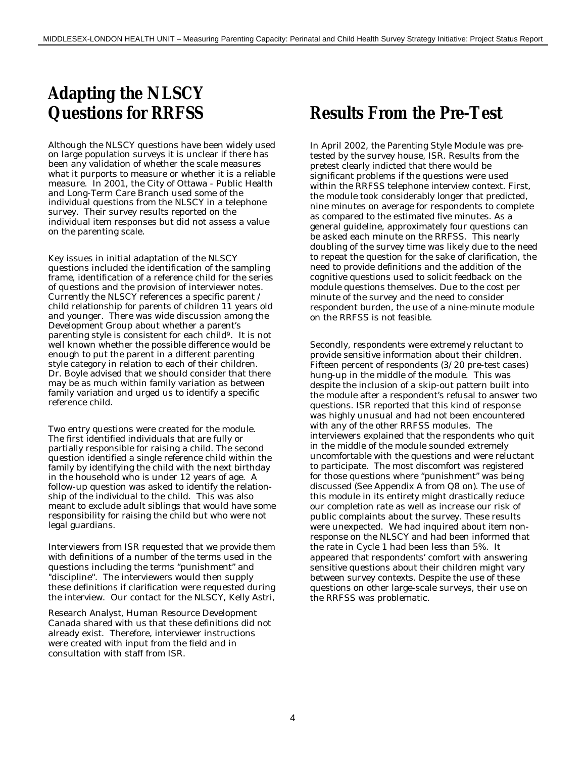## **Adapting the NLSCY Questions for RRFSS**

Although the NLSCY questions have been widely used on large population surveys it is unclear if there has been any validation of whether the scale measures what it purports to measure or whether it is a reliable measure. In 2001, the City of Ottawa - Public Health and Long-Term Care Branch used some of the individual questions from the NLSCY in a telephone survey. Their survey results reported on the individual item responses but did not assess a value on the parenting scale.

Key issues in initial adaptation of the NLSCY questions included the identification of the sampling frame, identification of a reference child for the series of questions and the provision of interviewer notes. Currently the NLSCY references a specific parent / child relationship for parents of children 11 years old and younger. There was wide discussion among the Development Group about whether a parent's parenting style is consistent for each child9. It is not well known whether the possible difference would be enough to put the parent in a different parenting style category in relation to each of their children. Dr. Boyle advised that we should consider that there may be as much within family variation as between family variation and urged us to identify a specific reference child.

Two entry questions were created for the module. The first identified individuals that are fully or partially responsible for raising a child. The second question identified a single reference child within the family by identifying the child with the next birthday in the household who is under 12 years of age. A follow-up question was asked to identify the relationship of the individual to the child. This was also meant to exclude adult siblings that would have some responsibility for raising the child but who were not legal guardians.

Interviewers from ISR requested that we provide them with definitions of a number of the terms used in the questions including the terms "punishment" and "discipline". The interviewers would then supply these definitions if clarification were requested during the interview. Our contact for the NLSCY, Kelly Astri,

Research Analyst, Human Resource Development Canada shared with us that these definitions did not already exist. Therefore, interviewer instructions were created with input from the field and in consultation with staff from ISR.

## **Results From the Pre-Test**

In April 2002, the Parenting Style Module was pretested by the survey house, ISR. Results from the pretest clearly indicted that there would be significant problems if the questions were used within the RRFSS telephone interview context. First, the module took considerably longer that predicted, nine minutes on average for respondents to complete as compared to the estimated five minutes. As a general guideline, approximately four questions can be asked each minute on the RRFSS. This nearly doubling of the survey time was likely due to the need to repeat the question for the sake of clarification, the need to provide definitions and the addition of the cognitive questions used to solicit feedback on the module questions themselves. Due to the cost per minute of the survey and the need to consider respondent burden, the use of a nine-minute module on the RRFSS is not feasible.

Secondly, respondents were extremely reluctant to provide sensitive information about their children. Fifteen percent of respondents (3/20 pre-test cases) hung-up in the middle of the module. This was despite the inclusion of a skip-out pattern built into the module after a respondent's refusal to answer two questions. ISR reported that this kind of response was highly unusual and had not been encountered with any of the other RRFSS modules. The interviewers explained that the respondents who quit in the middle of the module sounded extremely uncomfortable with the questions and were reluctant to participate. The most discomfort was registered for those questions where "punishment" was being discussed (See Appendix A from Q8 on). The use of this module in its entirety might drastically reduce our completion rate as well as increase our risk of public complaints about the survey. These results were unexpected. We had inquired about item nonresponse on the NLSCY and had been informed that the rate in Cycle 1 had been less than 5%. It appeared that respondents' comfort with answering sensitive questions about their children might vary between survey contexts. Despite the use of these questions on other large-scale surveys, their use on the RRFSS was problematic.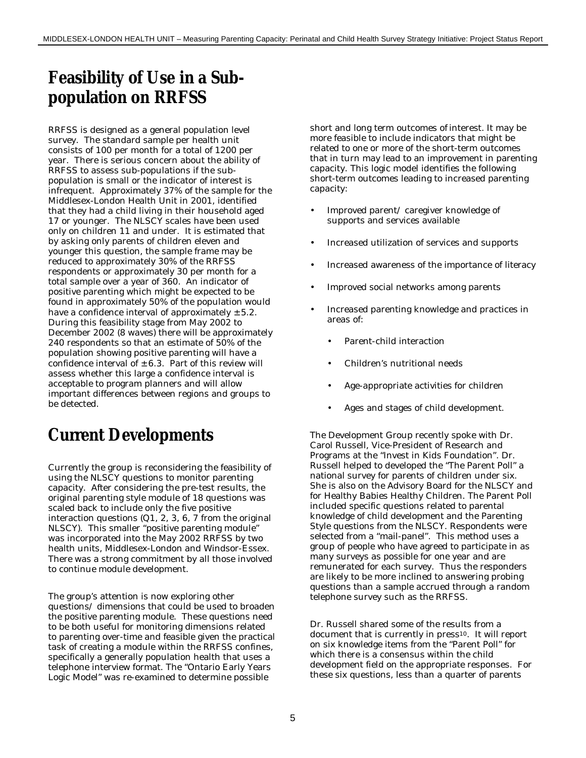## **Feasibility of Use in a Subpopulation on RRFSS**

RRFSS is designed as a general population level survey. The standard sample per health unit consists of 100 per month for a total of 1200 per year. There is serious concern about the ability of RRFSS to assess sub-populations if the subpopulation is small or the indicator of interest is infrequent. Approximately 37% of the sample for the Middlesex-London Health Unit in 2001, identified that they had a child living in their household aged 17 or younger. The NLSCY scales have been used only on children 11 and under. It is estimated that by asking only parents of children eleven and younger this question, the sample frame may be reduced to approximately 30% of the RRFSS respondents or approximately 30 per month for a total sample over a year of 360. An indicator of positive parenting which might be expected to be found in approximately 50% of the population would have a confidence interval of approximately  $\pm$  5.2. During this feasibility stage from May 2002 to December 2002 (8 waves) there will be approximately 240 respondents so that an estimate of 50% of the population showing positive parenting will have a confidence interval of  $\pm$  6.3. Part of this review will assess whether this large a confidence interval is acceptable to program planners and will allow important differences between regions and groups to be detected.

## **Current Developments**

Currently the group is reconsidering the feasibility of using the NLSCY questions to monitor parenting capacity. After considering the pre-test results, the original parenting style module of 18 questions was scaled back to include only the five positive interaction questions (Q1, 2, 3, 6, 7 from the original NLSCY). This smaller "positive parenting module" was incorporated into the May 2002 RRFSS by two health units, Middlesex-London and Windsor-Essex. There was a strong commitment by all those involved to continue module development.

The group's attention is now exploring other questions/ dimensions that could be used to broaden the positive parenting module. These questions need to be both useful for monitoring dimensions related to parenting over-time and feasible given the practical task of creating a module within the RRFSS confines, specifically a generally population health that uses a telephone interview format. The "Ontario Early Years Logic Model" was re-examined to determine possible

short and long term outcomes of interest. It may be more feasible to include indicators that might be related to one or more of the short-term outcomes that in turn may lead to an improvement in parenting capacity. This logic model identifies the following short-term outcomes leading to increased parenting capacity:

- Improved parent/ caregiver knowledge of supports and services available
- Increased utilization of services and supports
- Increased awareness of the importance of literacy
- Improved social networks among parents
- Increased parenting knowledge and practices in areas of:
	- Parent-child interaction
	- Children's nutritional needs
	- Age-appropriate activities for children
	- Ages and stages of child development.

The Development Group recently spoke with Dr. Carol Russell, Vice-President of Research and Programs at the "Invest in Kids Foundation". Dr. Russell helped to developed the "The Parent Poll" a national survey for parents of children under six. She is also on the Advisory Board for the NLSCY and for Healthy Babies Healthy Children. The Parent Poll included specific questions related to parental knowledge of child development and the Parenting Style questions from the NLSCY. Respondents were selected from a "mail-panel". This method uses a group of people who have agreed to participate in as many surveys as possible for one year and are remunerated for each survey. Thus the responders are likely to be more inclined to answering probing questions than a sample accrued through a random telephone survey such as the RRFSS.

Dr. Russell shared some of the results from a document that is currently in press<sup>10</sup>. It will report on six knowledge items from the "Parent Poll" for which there is a consensus within the child development field on the appropriate responses. For these six questions, less than a quarter of parents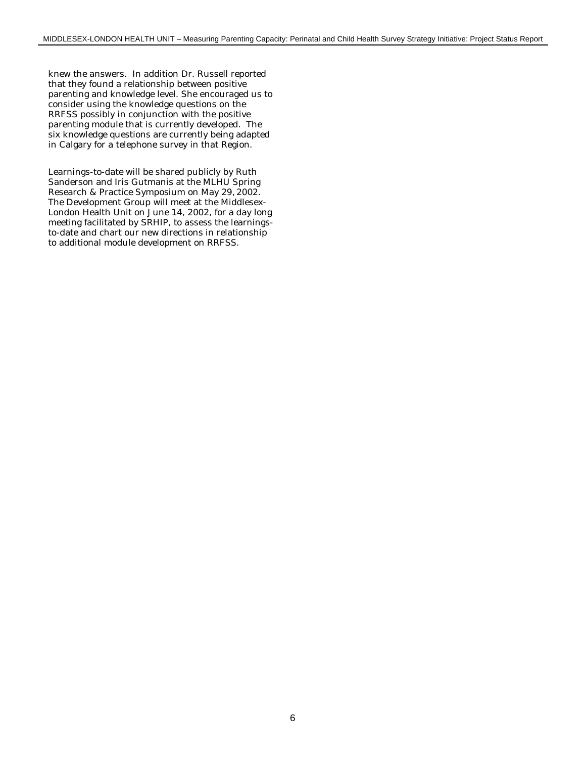knew the answers. In addition Dr. Russell reported that they found a relationship between positive parenting and knowledge level. She encouraged us to consider using the knowledge questions on the RRFSS possibly in conjunction with the positive parenting module that is currently developed. The six knowledge questions are currently being adapted in Calgary for a telephone survey in that Region.

Learnings-to-date will be shared publicly by Ruth Sanderson and Iris Gutmanis at the MLHU Spring Research & Practice Symposium on May 29, 2002. The Development Group will meet at the Middlesex-London Health Unit on June 14, 2002, for a day long meeting facilitated by SRHIP, to assess the learningsto-date and chart our new directions in relationship to additional module development on RRFSS.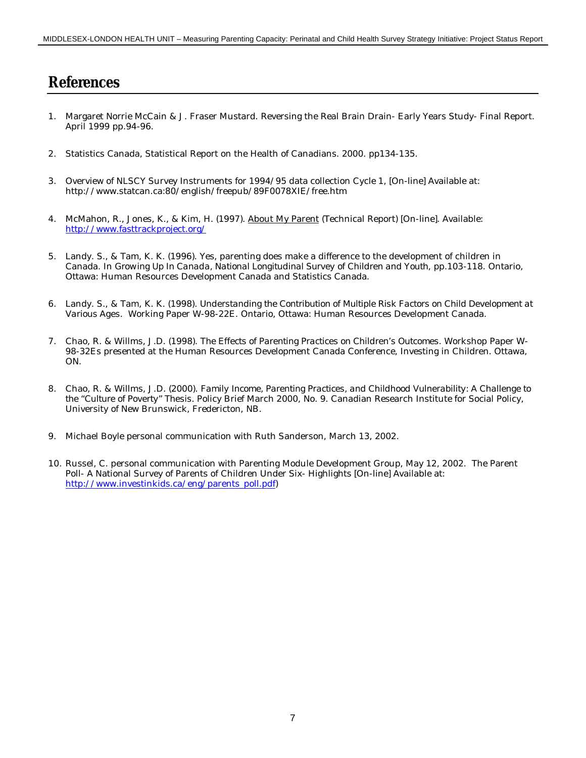#### **References**

- 1. Margaret Norrie McCain & J. Fraser Mustard. Reversing the Real Brain Drain- Early Years Study- Final Report. April 1999 pp.94-96.
- 2. Statistics Canada, Statistical Report on the Health of Canadians. 2000. pp134-135.
- 3. Overview of NLSCY Survey Instruments for 1994/95 data collection Cycle 1, [On-line] Available at: http://www.statcan.ca:80/english/freepub/89F0078XIE/free.htm
- 4. McMahon, R., Jones, K., & Kim, H. (1997). About My Parent (Technical Report) [On-line]. Available: http://www.fasttrackproject.org/
- 5. Landy. S., & Tam, K. K. (1996). Yes, parenting does make a difference to the development of children in Canada. In *Growing Up In Canada, National Longitudinal Survey of Children and Youth*, pp.103-118. Ontario, Ottawa: Human Resources Development Canada and Statistics Canada.
- 6. Landy. S., & Tam, K. K. (1998). *Understanding the Contribution of Multiple Risk Factors on Child Development at Various Ages.* Working Paper W-98-22E. Ontario, Ottawa: Human Resources Development Canada.
- 7. Chao, R. & Willms, J.D. (1998). T*he Effects of Parenting Practices on Children's Outcomes*. Workshop Paper W-98-32Es presented at the Human Resources Development Canada Conference, Investing in Children. Ottawa, ON.
- 8. Chao, R. & Willms, J.D. (2000). *Family Income, Parenting Practices, and Childhood Vulnerability: A Challenge to the "Culture of Poverty" Thesis.* Policy Brief March 2000, No. 9. Canadian Research Institute for Social Policy, University of New Brunswick, Fredericton, NB.
- 9. Michael Boyle personal communication with Ruth Sanderson, March 13, 2002.
- 10. Russel, C. personal communication with Parenting Module Development Group, May 12, 2002. The Parent Poll- A National Survey of Parents of Children Under Six- Highlights [On-line] Available at: http://www.investinkids.ca/eng/parents\_poll.pdf)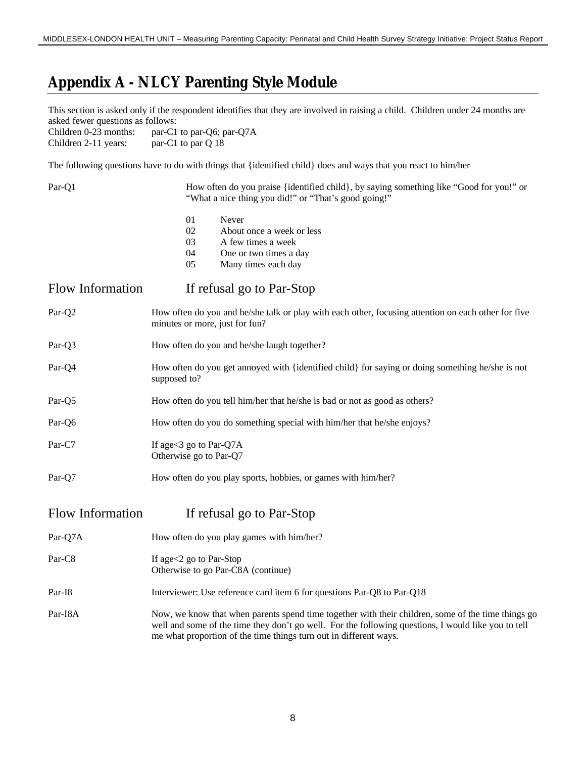### **Appendix A - NLCY Parenting Style Module**

This section is asked only if the respondent identifies that they are involved in raising a child. Children under 24 months are asked fewer questions as follows:<br>Children 0-23 months: par-C1

par-C1 to par-Q6; par-Q7A Children 2-11 years: par-C1 to par Q 18

The following questions have to do with things that {identified child} does and ways that you react to him/her

| Par-Q1                  | How often do you praise {identified child}, by saying something like "Good for you!" or<br>"What a nice thing you did!" or "That's good going!"                                                                                                                                |  |  |
|-------------------------|--------------------------------------------------------------------------------------------------------------------------------------------------------------------------------------------------------------------------------------------------------------------------------|--|--|
|                         | 01<br>Never<br>02<br>About once a week or less<br>03<br>A few times a week<br>04<br>One or two times a day<br>05<br>Many times each day                                                                                                                                        |  |  |
| <b>Flow Information</b> | If refusal go to Par-Stop                                                                                                                                                                                                                                                      |  |  |
| Par-Q2                  | How often do you and he/she talk or play with each other, focusing attention on each other for five<br>minutes or more, just for fun?                                                                                                                                          |  |  |
| Par-Q3                  | How often do you and he/she laugh together?                                                                                                                                                                                                                                    |  |  |
| Par-Q4                  | How often do you get annoyed with {identified child} for saying or doing something he/she is not<br>supposed to?                                                                                                                                                               |  |  |
| Par-Q5                  | How often do you tell him/her that he/she is bad or not as good as others?                                                                                                                                                                                                     |  |  |
| Par-Q6                  | How often do you do something special with him/her that he/she enjoys?                                                                                                                                                                                                         |  |  |
| Par-C7                  | If age < 3 go to Par-Q7A<br>Otherwise go to Par-Q7                                                                                                                                                                                                                             |  |  |
| Par-Q7                  | How often do you play sports, hobbies, or games with him/her?                                                                                                                                                                                                                  |  |  |
| Flow Information        | If refusal go to Par-Stop                                                                                                                                                                                                                                                      |  |  |
| Par-Q7A                 | How often do you play games with him/her?                                                                                                                                                                                                                                      |  |  |
| Par-C8                  | If age<2 go to Par-Stop<br>Otherwise to go Par-C8A (continue)                                                                                                                                                                                                                  |  |  |
| Par-I8                  | Interviewer: Use reference card item 6 for questions Par-Q8 to Par-Q18                                                                                                                                                                                                         |  |  |
| Par-I8A                 | Now, we know that when parents spend time together with their children, some of the time things go<br>well and some of the time they don't go well. For the following questions, I would like you to tell<br>me what proportion of the time things turn out in different ways. |  |  |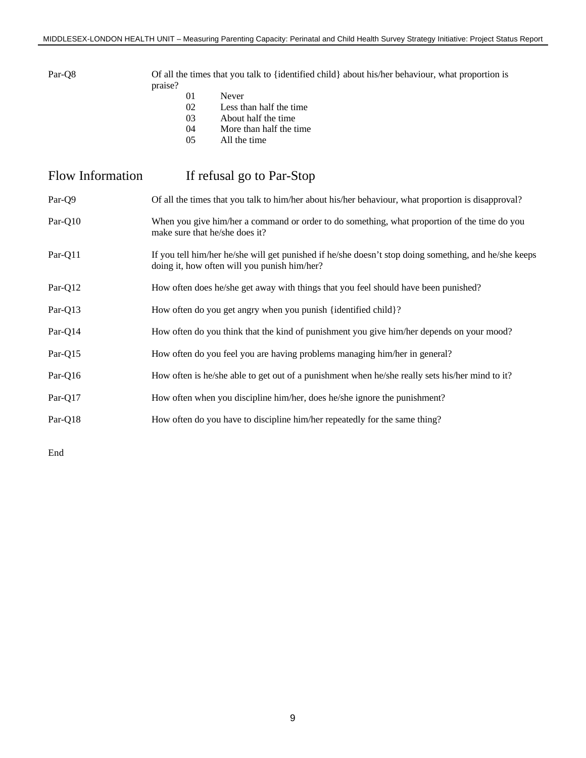Par-Q8 Of all the times that you talk to {identified child} about his/her behaviour, what proportion is praise?

- 01 Never<br>02 Less th
- 02 Less than half the time<br>03 About half the time
- 03 About half the time<br>04 More than half the t
- 04 More than half the time<br>05 All the time
- All the time

| Flow Information | If refusal go to Par-Stop                                                                                                                             |
|------------------|-------------------------------------------------------------------------------------------------------------------------------------------------------|
| Par-Q9           | Of all the times that you talk to him/her about his/her behaviour, what proportion is disapproval?                                                    |
| Par-Q10          | When you give him/her a command or order to do something, what proportion of the time do you<br>make sure that he/she does it?                        |
| Par-Q11          | If you tell him/her he/she will get punished if he/she doesn't stop doing something, and he/she keeps<br>doing it, how often will you punish him/her? |
| Par-Q12          | How often does he/she get away with things that you feel should have been punished?                                                                   |
| Par-Q13          | How often do you get angry when you punish {identified child}?                                                                                        |
| Par-Q14          | How often do you think that the kind of punishment you give him/her depends on your mood?                                                             |
| Par-Q15          | How often do you feel you are having problems managing him/her in general?                                                                            |
| Par-Q16          | How often is he/she able to get out of a punishment when he/she really sets his/her mind to it?                                                       |
| Par-Q17          | How often when you discipline him/her, does he/she ignore the punishment?                                                                             |
| Par-Q18          | How often do you have to discipline him/her repeatedly for the same thing?                                                                            |
|                  |                                                                                                                                                       |

End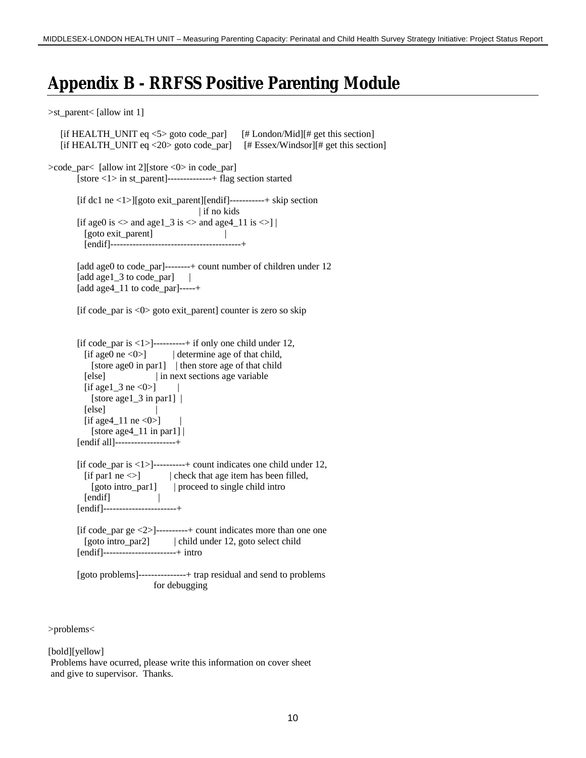### **Appendix B - RRFSS Positive Parenting Module**

>st\_parent< [allow int 1]

```
[if HEALTH_UNIT eq \langle 5 \rangle goto code par] [# London/Mid][# get this section]
    [if HEALTH_UNIT eq <20> goto code_par] [# Essex/Windsor][# get this section]
>code_par< [allow int 2][store <0> in code_par]
        [store <1> in st_parent]--------------+ flag section started
        [if dc1 ne <1>][goto exit_parent][endif]-----------+ skip section
                                         | if no kids
        [if age0 is \Diamond and age1 3 is \Diamond and age4 11 is \Diamond] |
          [goto exit_parent] |
           [endif]-----------------------------------------+
       [add age0 to code_par]--------+ count number of children under 12
       [add age1_3 to code_par] |
        [add age4_11 to code_par]-----+
        [if code_par is <0> goto exit_parent] counter is zero so skip
        [if code par is \langle 1 \rangle]----------+ if only one child under 12,
          [if age0 ne <0>] | determine age of that child,
            [store age0 in par1] | then store age of that child
           [else] | in next sections age variable
          [if age1_3 ne <0>] |[store age1_3 in par1] |
          [else]
          [if age4_11 ne <0>]
            [store age4_11 in par1] |
        [endif all]-------------------+
        [if code_par is \langle 1 \rangle]---------+ count indicates one child under 12,
         [if par1 ne \leq] | check that age item has been filled,
            [goto intro_par1] | proceed to single child intro
          [endif] |
        [endif]-----------------------+
       [if code par ge \langle 2 \rangle]----------+ count indicates more than one one
           [goto intro_par2] | child under 12, goto select child
        [endif]-----------------------+ intro
        [goto problems]---------------+ trap residual and send to problems
                             for debugging
```
>problems<

[bold][yellow]

 Problems have ocurred, please write this information on cover sheet and give to supervisor. Thanks.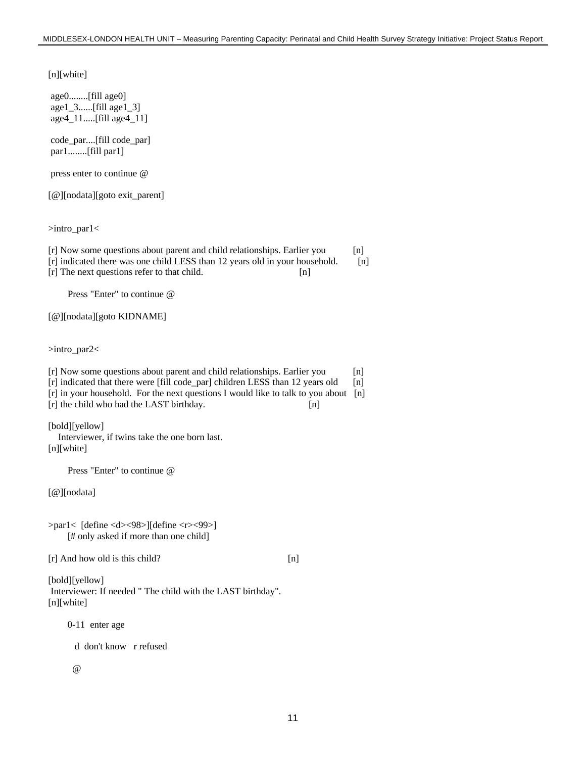[n][white]

age0........[fill age0] age1\_3......[fill age1\_3] age4\_11.....[fill age4\_11]

code\_par....[fill code\_par] par1........[fill par1]

press enter to continue @

[@][nodata][goto exit\_parent]

>intro\_par1<

[r] Now some questions about parent and child relationships. Earlier you [n] [r] indicated there was one child LESS than 12 years old in your household. [n] [r] The next questions refer to that child. [n]

Press "Enter" to continue @

[@][nodata][goto KIDNAME]

>intro\_par2<

[r] Now some questions about parent and child relationships. Earlier you [n] [r] indicated that there were [fill code\_par] children LESS than 12 years old [n] [r] in your household. For the next questions I would like to talk to you about [n] [r] the child who had the LAST birthday. [n]

[bold][yellow] Interviewer, if twins take the one born last.

[n][white]

Press "Enter" to continue @

[@][nodata]

>par1< [define <d><98>][define <r><99>] [# only asked if more than one child]

[r] And how old is this child? [n]

[bold][yellow] Interviewer: If needed " The child with the LAST birthday". [n][white]

0-11 enter age

d don't know r refused

@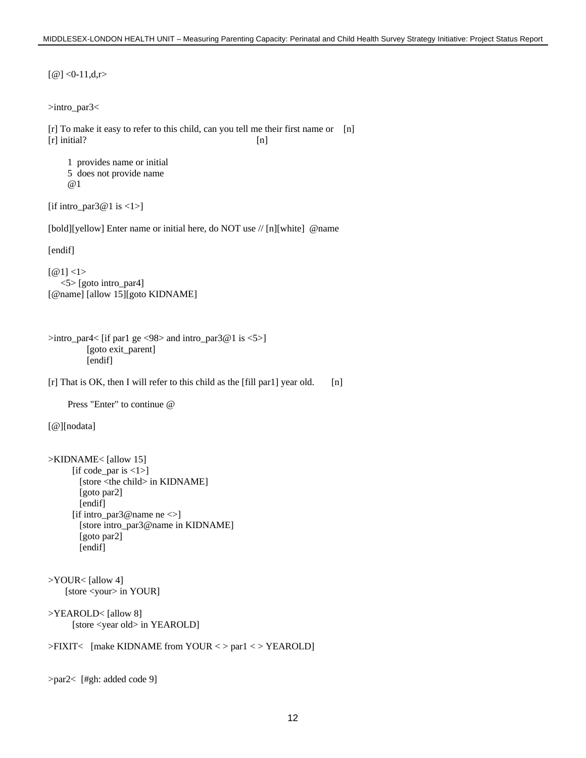```
[@] < 0-11,d,r>
>intro_par3<
[r] To make it easy to refer to this child, can you tell me their first name or [n]
[r] initial? [n] 1 provides name or initial
     5 does not provide name
      @1
[if intro_par3@1 is \langle 1 \rangle]
[bold][yellow] Enter name or initial here, do NOT use // [n][white] @name
[endif]
[@1] <1> <5> [goto intro_par4]
[@name] [allow 15][goto KIDNAME]
>intro_par4< [if par1 ge <98> and intro_par3@1 is <5>]
          [goto exit_parent]
          [endif]
[r] That is OK, then I will refer to this child as the [fill par1] year old. [n]
     Press "Enter" to continue @
[@][nodata]
>KIDNAME< [allow 15]
      [if code_par is \langle 1 \rangle]
        [store <the child> in KIDNAME]
        [goto par2]
        [endif]
      [if intro_par3@name ne\leq]
        [store intro_par3@name in KIDNAME]
        [goto par2]
        [endif]
>YOUR< [allow 4]
     [store <your> in YOUR]
>YEAROLD< [allow 8]
      [store <year old> in YEAROLD]
>FIXIT< [make KIDNAME from YOUR < > par1 < > YEAROLD]
>par2< [#gh: added code 9]
```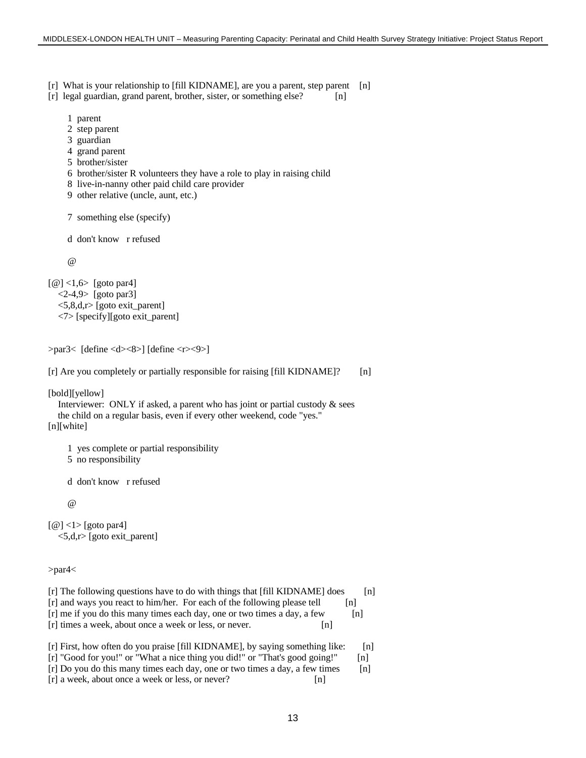[r] What is your relationship to [fill KIDNAME], are you a parent, step parent [n]

- [r] legal guardian, grand parent, brother, sister, or something else? [n]
	- 1 parent
	- 2 step parent
	- 3 guardian
	- 4 grand parent
	- 5 brother/sister
	- 6 brother/sister R volunteers they have a role to play in raising child
	- 8 live-in-nanny other paid child care provider
	- 9 other relative (uncle, aunt, etc.)

```
 7 something else (specify)
```
d don't know r refused

 $\omega$ 

[@] <1,6> [goto par4]  $\langle 2-4, 9 \rangle$  [goto par3] <5,8,d,r> [goto exit\_parent] <7> [specify][goto exit\_parent]

```
>par3< [define <d><8>] [define <r><9>]
```

```
[r] Are you completely or partially responsible for raising [fill KIDNAME]? [n]
```
[bold][yellow]

 Interviewer: ONLY if asked, a parent who has joint or partial custody & sees the child on a regular basis, even if every other weekend, code "yes." [n][white]

1 yes complete or partial responsibility

5 no responsibility

d don't know r refused

 $\omega$ 

 $\lceil \omega \rceil$  <1> [goto par4] <5,d,r> [goto exit\_parent]

>par4<

| [r] The following questions have to do with things that [fill KIDNAME] does | In l  |
|-----------------------------------------------------------------------------|-------|
| [r] and ways you react to him/her. For each of the following please tell    | lnl   |
| [r] me if you do this many times each day, one or two times a day, a few    | $\ln$ |
| [r] times a week, about once a week or less, or never.<br>$\ln$             |       |
| $\blacksquare$                                                              |       |

```
[r] First, how often do you praise [fill KIDNAME], by saying something like: [n]
[r] "Good for you!" or "What a nice thing you did!" or "That's good going!" [n]
[r] Do you do this many times each day, one or two times a day, a few times [n]
[r] a week, about once a week or less, or never? [n]
```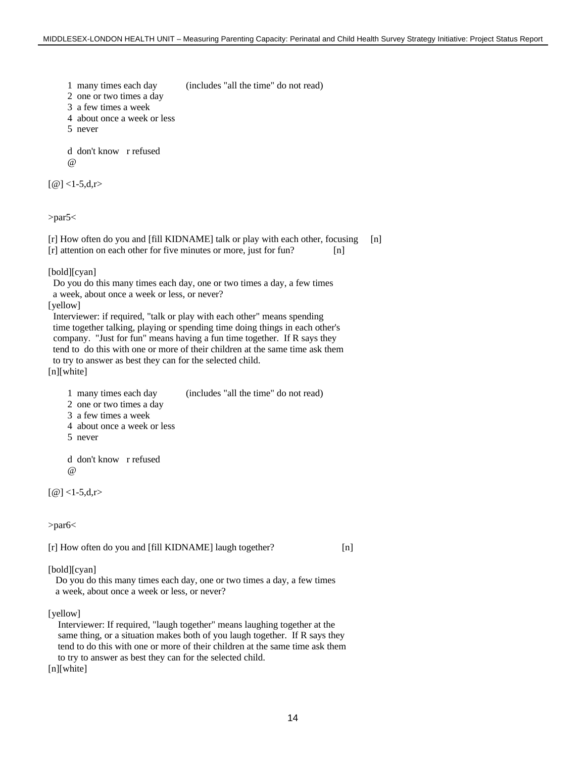1 many times each day (includes "all the time" do not read)

- 2 one or two times a day
- 3 a few times a week
- 4 about once a week or less
- 5 never

 d don't know r refused  $\omega$ 

 $[@] < 1-5, d,r$ 

>par5<

[r] How often do you and [fill KIDNAME] talk or play with each other, focusing [n] [r] attention on each other for five minutes or more, just for fun? [n]

[bold][cyan]

Do you do this many times each day, one or two times a day, a few times

a week, about once a week or less, or never?

[yellow]

 Interviewer: if required, "talk or play with each other" means spending time together talking, playing or spending time doing things in each other's company. "Just for fun" means having a fun time together. If R says they tend to do this with one or more of their children at the same time ask them to try to answer as best they can for the selected child. [n][white]

- 1 many times each day (includes "all the time" do not read)
- 2 one or two times a day
- 3 a few times a week
- 4 about once a week or less
- 5 never

 d don't know r refused @

 $[@] <1-5, d,r>$ 

>par6<

[r] How often do you and [fill KIDNAME] laugh together? [n]

[bold][cyan]

 Do you do this many times each day, one or two times a day, a few times a week, about once a week or less, or never?

[yellow]

 Interviewer: If required, "laugh together" means laughing together at the same thing, or a situation makes both of you laugh together. If R says they tend to do this with one or more of their children at the same time ask them to try to answer as best they can for the selected child.

[n][white]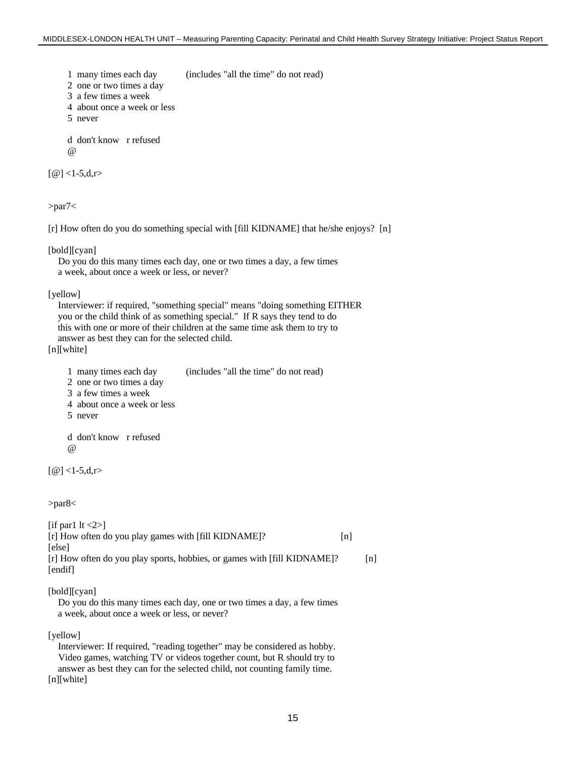1 many times each day (includes "all the time" do not read)

2 one or two times a day

- 3 a few times a week
- 4 about once a week or less
- 5 never

 d don't know r refused @

 $[@] <1-5, d,r>$ 

>par7<

[r] How often do you do something special with [fill KIDNAME] that he/she enjoys? [n]

#### [bold][cyan]

 Do you do this many times each day, one or two times a day, a few times a week, about once a week or less, or never?

#### [yellow]

 Interviewer: if required, "something special" means "doing something EITHER you or the child think of as something special." If R says they tend to do this with one or more of their children at the same time ask them to try to answer as best they can for the selected child.

[n][white]

| 1 many times each day | (includes "all the time" do not read) |  |
|-----------------------|---------------------------------------|--|
|                       |                                       |  |

- 2 one or two times a day
- 3 a few times a week

4 about once a week or less

5 never

 d don't know r refused  $\omega$ 

```
[@] <1-5, d,r>
```
>par8<

| [if parl $ t  < 2$ ]<br>[r] How often do you play games with [fill KIDNAME]?<br>[else] | n |     |
|----------------------------------------------------------------------------------------|---|-----|
| [r] How often do you play sports, hobbies, or games with [fill KIDNAME]?<br>[endif]    |   | [n] |
| [bold][cyan]                                                                           |   |     |

 Do you do this many times each day, one or two times a day, a few times a week, about once a week or less, or never?

#### [yellow]

 Interviewer: If required, "reading together" may be considered as hobby. Video games, watching TV or videos together count, but R should try to answer as best they can for the selected child, not counting family time. [n][white]